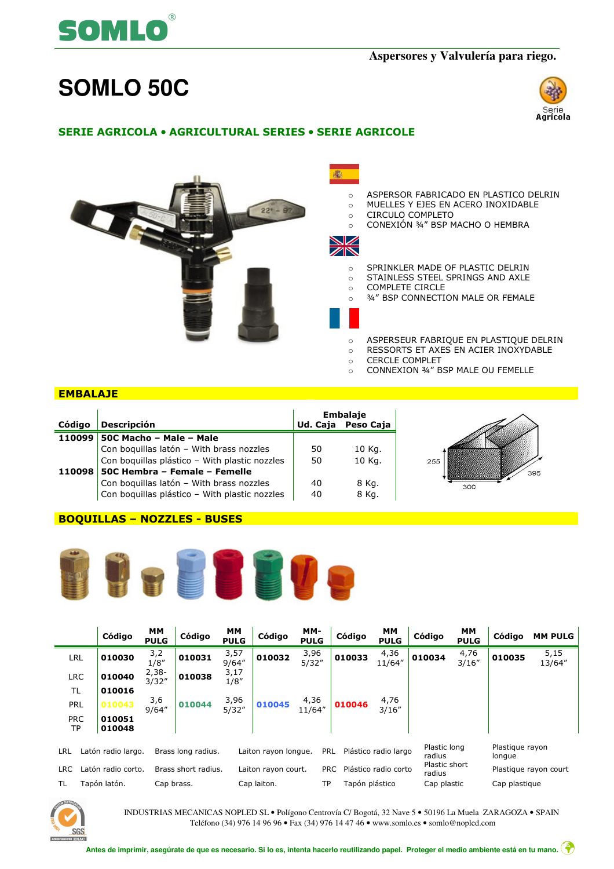

## **Aspersores y Valvulería para riego.**

# **SOMLO 50C**



# SERIE AGRICOLA • AGRICULTURAL SERIES • SERIE AGRICOLE



#### **EMBALAJE**

|        |                                               |    | Embalaje           |
|--------|-----------------------------------------------|----|--------------------|
| Código | <b>Descripción</b>                            |    | Ud. Caja Peso Caja |
|        | 110099 50C Macho - Male - Male                |    |                    |
|        | Con boquillas latón - With brass nozzles      | 50 | 10 Kg.             |
|        | Con boquillas plástico - With plastic nozzles | 50 | 10 Kg.             |
|        | 110098 50C Hembra - Female - Femelle          |    |                    |
|        | Con boquillas latón - With brass nozzles      | 40 | 8 Kg.              |
|        | Con boquillas plástico - With plastic nozzles | 40 | 8 Kg.              |

#### BOQUILLAS – NOZZLES - BUSES



|                  | Código             | <b>MM</b><br><b>PULG</b> | Código              | MМ<br><b>PULG</b> | Código               | MM-<br><b>PULG</b> | Código         | <b>MM</b><br><b>PULG</b> | Código                  | <b>MM</b><br><b>PULG</b> | Código                    | <b>MM PULG</b>        |
|------------------|--------------------|--------------------------|---------------------|-------------------|----------------------|--------------------|----------------|--------------------------|-------------------------|--------------------------|---------------------------|-----------------------|
| LRL              | 010030             | 3,2<br>1/8''             | 010031              | 3,57<br>9/64''    | 010032               | 3,96<br>5/32''     | 010033         | 4,36<br>11/64"           | 010034                  | 4,76<br>3/16''           | 010035                    | 5,15<br>13/64"        |
| <b>LRC</b>       | 010040             | $2,38-$<br>3/32''        | 010038              | 3,17<br>1/8''     |                      |                    |                |                          |                         |                          |                           |                       |
| TL               | 010016             |                          |                     |                   |                      |                    |                |                          |                         |                          |                           |                       |
| PRL              | 010043             | 3,6<br>9/64''            | 010044              | 3,96<br>5/32''    | 010045               | 4,36<br>11/64"     | 010046         | 4,76<br>3/16''           |                         |                          |                           |                       |
| <b>PRC</b><br>ТP | 010051<br>010048   |                          |                     |                   |                      |                    |                |                          |                         |                          |                           |                       |
| LRL              | Latón radio largo. |                          | Brass long radius.  |                   | Laiton rayon longue. | PRL                |                | Plástico radio largo     | Plastic long<br>radius  |                          | Plastique rayon<br>longue |                       |
| LRC              | Latón radio corto. |                          | Brass short radius. |                   | Laiton rayon court.  | <b>PRC</b>         |                | Plástico radio corto     | Plastic short<br>radius |                          |                           | Plastique rayon court |
| TL               | Tapón latón.       | Cap brass.               |                     |                   | Cap laiton.          | TP                 | Tapón plástico |                          | Cap plastic             |                          | Cap plastique             |                       |



INDUSTRIAS MECANICAS NOPLED SL • Polígono Centrovía C/ Bogotá, 32 Nave 5 • 50196 La Muela ZARAGOZA • SPAIN Teléfono (34) 976 14 96 96 • Fax (34) 976 14 47 46 • www.somlo.es • somlo@nopled.com